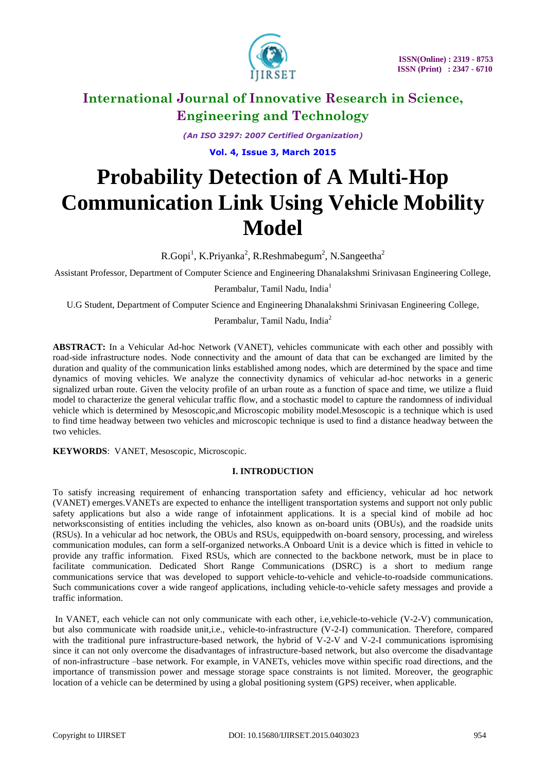

*(An ISO 3297: 2007 Certified Organization)*

**Vol. 4, Issue 3, March 2015**

# **Probability Detection of A Multi-Hop Communication Link Using Vehicle Mobility Model**

R.Gopi<sup>1</sup>, K.Priyanka<sup>2</sup>, R.Reshmabegum<sup>2</sup>, N.Sangeetha<sup>2</sup>

Assistant Professor, Department of Computer Science and Engineering Dhanalakshmi Srinivasan Engineering College,

Perambalur, Tamil Nadu, India<sup>1</sup>

U.G Student, Department of Computer Science and Engineering Dhanalakshmi Srinivasan Engineering College,

Perambalur, Tamil Nadu, India<sup>2</sup>

**ABSTRACT:** In a Vehicular Ad-hoc Network (VANET), vehicles communicate with each other and possibly with road-side infrastructure nodes. Node connectivity and the amount of data that can be exchanged are limited by the duration and quality of the communication links established among nodes, which are determined by the space and time dynamics of moving vehicles. We analyze the connectivity dynamics of vehicular ad-hoc networks in a generic signalized urban route. Given the velocity profile of an urban route as a function of space and time, we utilize a fluid model to characterize the general vehicular traffic flow, and a stochastic model to capture the randomness of individual vehicle which is determined by Mesoscopic,and Microscopic mobility model.Mesoscopic is a technique which is used to find time headway between two vehicles and microscopic technique is used to find a distance headway between the two vehicles.

**KEYWORDS**: VANET, Mesoscopic, Microscopic.

### **I. INTRODUCTION**

To satisfy increasing requirement of enhancing transportation safety and efficiency, vehicular ad hoc network (VANET) emerges.VANETs are expected to enhance the intelligent transportation systems and support not only public safety applications but also a wide range of infotainment applications. It is a special kind of mobile ad hoc networksconsisting of entities including the vehicles, also known as on-board units (OBUs), and the roadside units (RSUs). In a vehicular ad hoc network, the OBUs and RSUs, equippedwith on-board sensory, processing, and wireless communication modules, can form a self-organized networks.A Onboard Unit is a device which is fitted in vehicle to provide any traffic information. Fixed RSUs, which are connected to the backbone network, must be in place to facilitate communication. Dedicated Short Range Communications (DSRC) is a short to medium range communications service that was developed to support vehicle-to-vehicle and vehicle-to-roadside communications. Such communications cover a wide rangeof applications, including vehicle-to-vehicle safety messages and provide a traffic information.

In VANET, each vehicle can not only communicate with each other, i.e,vehicle-to-vehicle (V-2-V) communication, but also communicate with roadside unit,i.e., vehicle-to-infrastructure (V-2-I) communication. Therefore, compared with the traditional pure infrastructure-based network, the hybrid of V-2-V and V-2-I communications ispromising since it can not only overcome the disadvantages of infrastructure-based network, but also overcome the disadvantage of non-infrastructure –base network. For example, in VANETs, vehicles move within specific road directions, and the importance of transmission power and message storage space constraints is not limited. Moreover, the geographic location of a vehicle can be determined by using a global positioning system (GPS) receiver, when applicable.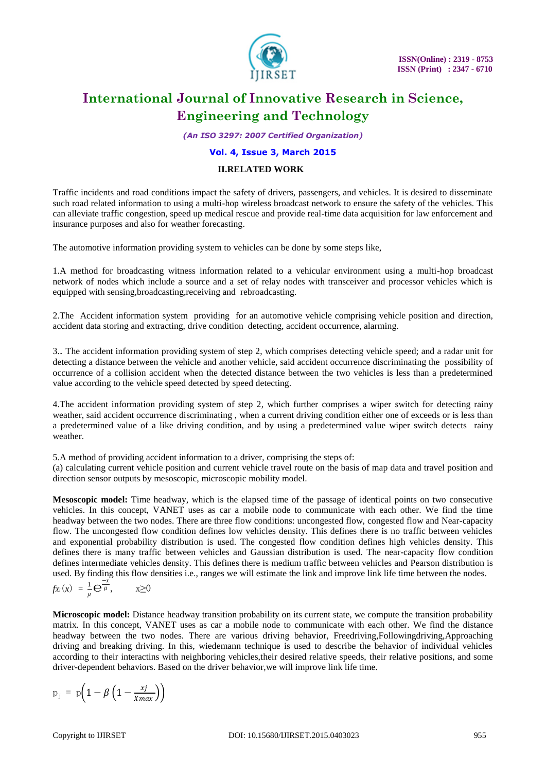

*(An ISO 3297: 2007 Certified Organization)*

#### **Vol. 4, Issue 3, March 2015**

#### **II.RELATED WORK**

Traffic incidents and road conditions impact the safety of drivers, passengers, and vehicles. It is desired to disseminate such road related information to using a multi-hop wireless broadcast network to ensure the safety of the vehicles. This can alleviate traffic congestion, speed up medical rescue and provide real-time data acquisition for law enforcement and insurance purposes and also for weather forecasting.

The automotive information providing system to vehicles can be done by some steps like,

1.A method for broadcasting witness information related to a vehicular environment using a multi-hop broadcast network of nodes which include a source and a set of relay nodes with transceiver and processor vehicles which is equipped with sensing,broadcasting,receiving and rebroadcasting.

2.The Accident information system providing for an automotive vehicle comprising vehicle position and direction, accident data storing and extracting, drive condition detecting, accident occurrence, alarming.

3.. The accident information providing system of step 2, which comprises detecting vehicle speed; and a radar unit for detecting a distance between the vehicle and another vehicle, said accident occurrence discriminating the possibility of occurrence of a collision accident when the detected distance between the two vehicles is less than a predetermined value according to the vehicle speed detected by speed detecting.

4.The accident information providing system of step 2, which further comprises a wiper switch for detecting rainy weather, said accident occurrence discriminating , when a current driving condition either one of exceeds or is less than a predetermined value of a like driving condition, and by using a predetermined value wiper switch detects rainy weather.

5.A method of providing accident information to a driver, comprising the steps of:

(a) calculating current vehicle position and current vehicle travel route on the basis of map data and travel position and direction sensor outputs by mesoscopic, microscopic mobility model.

**Mesoscopic model:** Time headway, which is the elapsed time of the passage of identical points on two consecutive vehicles. In this concept, VANET uses as car a mobile node to communicate with each other. We find the time headway between the two nodes. There are three flow conditions: uncongested flow, congested flow and Near-capacity flow. The uncongested flow condition defines low vehicles density. This defines there is no traffic between vehicles and exponential probability distribution is used. The congested flow condition defines high vehicles density. This defines there is many traffic between vehicles and Gaussian distribution is used. The near-capacity flow condition defines intermediate vehicles density. This defines there is medium traffic between vehicles and Pearson distribution is used. By finding this flow densities i.e., ranges we will estimate the link and improve link life time between the nodes.

$$
f_{X_i}(x) = \frac{1}{\mu} \mathbf{e}^{-\frac{x}{\mu}}, \qquad x \ge 0
$$

**Microscopic model:** Distance headway transition probability on its current state, we compute the transition probability matrix. In this concept, VANET uses as car a mobile node to communicate with each other. We find the distance headway between the two nodes. There are various driving behavior, Freedriving,Followingdriving,Approaching driving and breaking driving. In this, wiedemann technique is used to describe the behavior of individual vehicles according to their interactins with neighboring vehicles,their desired relative speeds, their relative positions, and some driver-dependent behaviors. Based on the driver behavior,we will improve link life time.

$$
p_j = p \bigg( 1 - \beta \left( 1 - \frac{xj}{x_{max}} \right) \bigg)
$$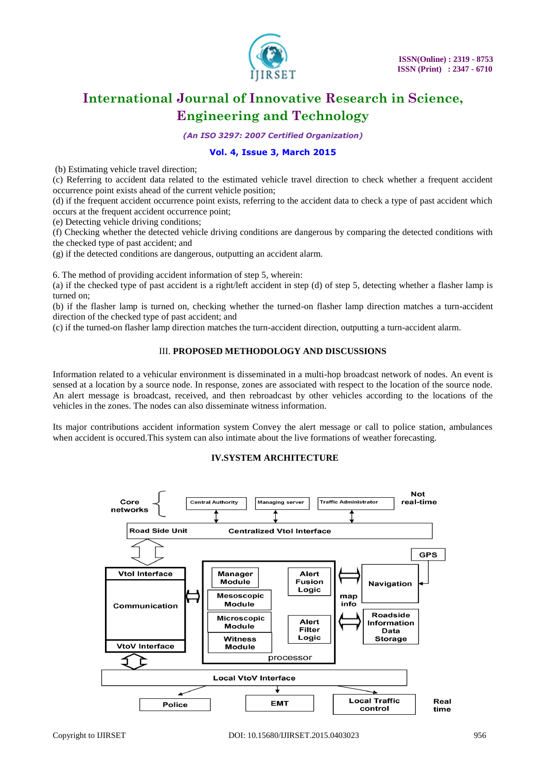

*(An ISO 3297: 2007 Certified Organization)*

### **Vol. 4, Issue 3, March 2015**

(b) Estimating vehicle travel direction;

(c) Referring to accident data related to the estimated vehicle travel direction to check whether a frequent accident occurrence point exists ahead of the current vehicle position;

(d) if the frequent accident occurrence point exists, referring to the accident data to check a type of past accident which occurs at the frequent accident occurrence point;

(e) Detecting vehicle driving conditions;

(f) Checking whether the detected vehicle driving conditions are dangerous by comparing the detected conditions with the checked type of past accident; and

(g) if the detected conditions are dangerous, outputting an accident alarm.

6. The method of providing accident information of step 5, wherein:

(a) if the checked type of past accident is a right/left accident in step (d) of step 5, detecting whether a flasher lamp is turned on;

(b) if the flasher lamp is turned on, checking whether the turned-on flasher lamp direction matches a turn-accident direction of the checked type of past accident; and

(c) if the turned-on flasher lamp direction matches the turn-accident direction, outputting a turn-accident alarm.

### III. **PROPOSED METHODOLOGY AND DISCUSSIONS**

Information related to a vehicular environment is disseminated in a multi-hop broadcast network of nodes. An event is sensed at a location by a source node. In response, zones are associated with respect to the location of the source node. An alert message is broadcast, received, and then rebroadcast by other vehicles according to the locations of the vehicles in the zones. The nodes can also disseminate witness information.

Its major contributions accident information system Convey the alert message or call to police station, ambulances when accident is occured.This system can also intimate about the live formations of weather forecasting.

### **IV.SYSTEM ARCHITECTURE**

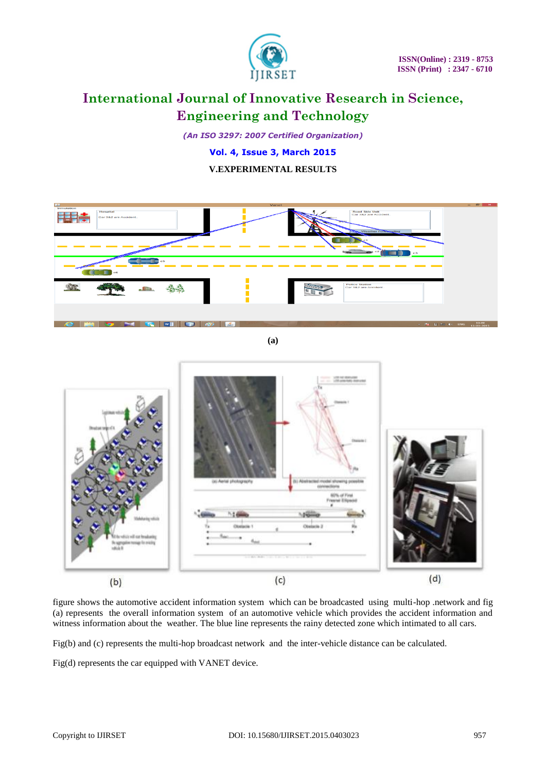

*(An ISO 3297: 2007 Certified Organization)*

**Vol. 4, Issue 3, March 2015**

### **V.EXPERIMENTAL RESULTS**



**(a)**



figure shows the automotive accident information system which can be broadcasted using multi-hop .network and fig (a) represents the overall information system of an automotive vehicle which provides the accident information and witness information about the weather. The blue line represents the rainy detected zone which intimated to all cars.

Fig(b) and (c) represents the multi-hop broadcast network and the inter-vehicle distance can be calculated.

Fig(d) represents the car equipped with VANET device.